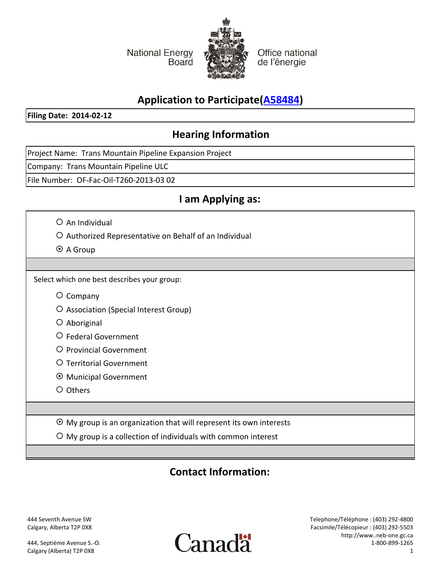**National Energy Board** 



Office national de l'énergie

# **Application to Participate([A58484\)](http://docs.neb-one.gc.ca/fetch.asp?language=e&Id=A58484)**

**Filing Date: 2014-02-12**

## **Hearing Information**

Project Name: Trans Mountain Pipeline Expansion Project

Company: Trans Mountain Pipeline ULC

File Number: OF-Fac-Oil-T260-2013-03 02

## **I am Applying as:**

 $O$  An Individual

{ Authorized Representative on Behalf of an Individual

 $\odot$  A Group

Select which one best describes your group:

- ${\circ}$  Company
- { Association (Special Interest Group)
- { Aboriginal
- { Federal Government
- { Provincial Government
- { Territorial Government
- ~ Municipal Government
- { Others

 $\odot$  My group is an organization that will represent its own interests

 ${\bigcirc}$  My group is a collection of individuals with common interest

### **Contact Information:**

444 Seventh Avenue SW Calgary, Alberta T2P 0X8

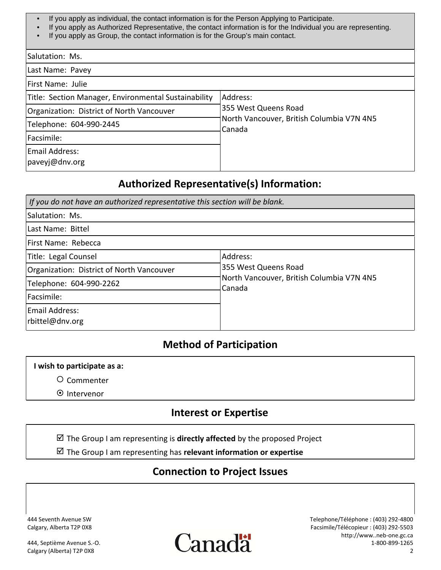- If you apply as individual, the contact information is for the Person Applying to Participate.
- If you apply as Authorized Representative, the contact information is for the Individual you are representing.
- If you apply as Group, the contact information is for the Group's main contact.

| Salutation: Ms.                                      |                                                     |
|------------------------------------------------------|-----------------------------------------------------|
| Last Name: Pavey                                     |                                                     |
| First Name: Julie                                    |                                                     |
| Title: Section Manager, Environmental Sustainability | Address:                                            |
| Organization: District of North Vancouver            | 355 West Queens Road                                |
| Telephone: 604-990-2445                              | North Vancouver, British Columbia V7N 4N5<br>Canada |
| Facsimile:                                           |                                                     |
| Email Address:<br>paveyj@dnv.org                     |                                                     |

### **Authorized Representative(s) Information:**

| If you do not have an authorized representative this section will be blank. |                                                            |  |  |  |
|-----------------------------------------------------------------------------|------------------------------------------------------------|--|--|--|
| Salutation: Ms.                                                             |                                                            |  |  |  |
| Last Name: Bittel                                                           |                                                            |  |  |  |
| First Name: Rebecca                                                         |                                                            |  |  |  |
| Title: Legal Counsel                                                        | Address:                                                   |  |  |  |
| Organization: District of North Vancouver                                   | 355 West Queens Road                                       |  |  |  |
| Telephone: 604-990-2262                                                     | North Vancouver, British Columbia V7N 4N5<br><b>Canada</b> |  |  |  |
| Facsimile:                                                                  |                                                            |  |  |  |
| Email Address:<br>rbittel@dnv.org                                           |                                                            |  |  |  |

### **Method of Participation**

#### **I wish to participate as a:**

- { Commenter
- ~ Intervenor

### **Interest or Expertise**

 $\boxtimes$  The Group I am representing is **directly affected** by the proposed Project

 $✓$  The Group I am representing has **relevant information or expertise** 

### **Connection to Project Issues**

444 Seventh Avenue SW Calgary, Alberta T2P 0X8

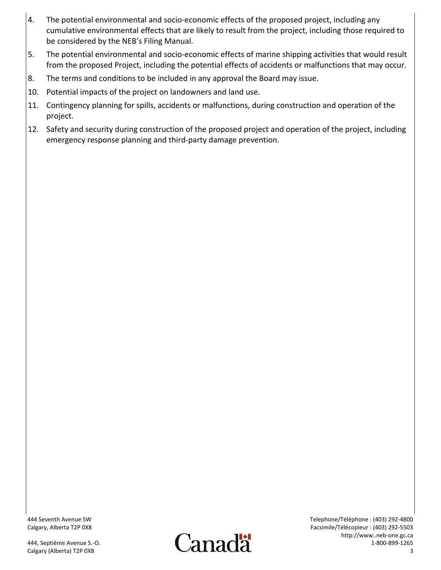- 4. The potential environmental and socio-economic effects of the proposed project, including any cumulative environmental effects that are likely to result from the project, including those required to be considered by the NEB's Filing Manual.
- 5. The potential environmental and socio-economic effects of marine shipping activities that would result from the proposed Project, including the potential effects of accidents or malfunctions that may occur.
- 8. The terms and conditions to be included in any approval the Board may issue.
- 10. Potential impacts of the project on landowners and land use.
- 11. Contingency planning for spills, accidents or malfunctions, during construction and operation of the project.
- 12. Safety and security during construction of the proposed project and operation of the project, including emergency response planning and third-party damage prevention.

444 Seventh Avenue SW Calgary, Alberta T2P 0X8

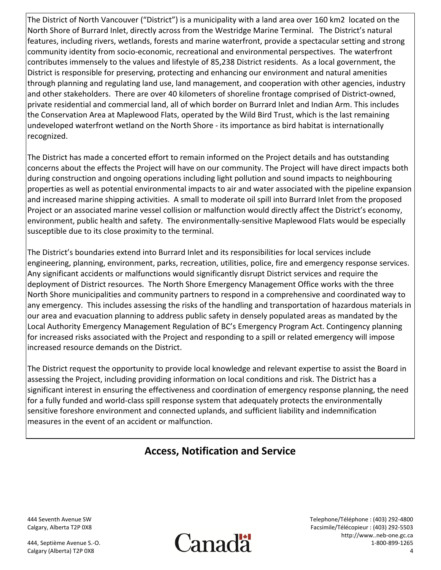The District of North Vancouver ("District") is a municipality with a land area over 160 km2 located on the North Shore of Burrard Inlet, directly across from the Westridge Marine Terminal. The District's natural features, including rivers, wetlands, forests and marine waterfront, provide a spectacular setting and strong community identity from socio-economic, recreational and environmental perspectives. The waterfront contributes immensely to the values and lifestyle of 85,238 District residents. As a local government, the District is responsible for preserving, protecting and enhancing our environment and natural amenities through planning and regulating land use, land management, and cooperation with other agencies, industry and other stakeholders. There are over 40 kilometers of shoreline frontage comprised of District-owned, private residential and commercial land, all of which border on Burrard Inlet and Indian Arm. This includes the Conservation Area at Maplewood Flats, operated by the Wild Bird Trust, which is the last remaining undeveloped waterfront wetland on the North Shore - its importance as bird habitat is internationally recognized.

The District has made a concerted effort to remain informed on the Project details and has outstanding concerns about the effects the Project will have on our community. The Project will have direct impacts both during construction and ongoing operations including light pollution and sound impacts to neighbouring properties as well as potential environmental impacts to air and water associated with the pipeline expansion and increased marine shipping activities. A small to moderate oil spill into Burrard Inlet from the proposed Project or an associated marine vessel collision or malfunction would directly affect the District's economy, environment, public health and safety. The environmentally-sensitive Maplewood Flats would be especially susceptible due to its close proximity to the terminal.

The District's boundaries extend into Burrard Inlet and its responsibilities for local services include engineering, planning, environment, parks, recreation, utilities, police, fire and emergency response services. Any significant accidents or malfunctions would significantly disrupt District services and require the deployment of District resources. The North Shore Emergency Management Office works with the three North Shore municipalities and community partners to respond in a comprehensive and coordinated way to any emergency. This includes assessing the risks of the handling and transportation of hazardous materials in our area and evacuation planning to address public safety in densely populated areas as mandated by the Local Authority Emergency Management Regulation of BC's Emergency Program Act. Contingency planning for increased risks associated with the Project and responding to a spill or related emergency will impose increased resource demands on the District.

The District request the opportunity to provide local knowledge and relevant expertise to assist the Board in assessing the Project, including providing information on local conditions and risk. The District has a significant interest in ensuring the effectiveness and coordination of emergency response planning, the need for a fully funded and world-class spill response system that adequately protects the environmentally sensitive foreshore environment and connected uplands, and sufficient liability and indemnification measures in the event of an accident or malfunction.

## **Access, Notification and Service**

444 Seventh Avenue SW Calgary, Alberta T2P 0X8

444, Septième Avenue S.-O. Calgary (Alberta) T2P 0X8



Telephone/Téléphone : (403) 292-4800 Facsimile/Télécopieur : (403) 292-5503 http://www..neb-one.gc.ca 1-800-899-1265